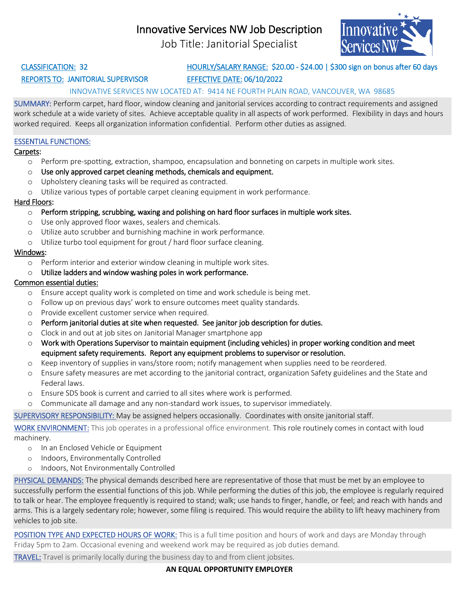# Innovative Services NW Job Description

Job Title: Janitorial Specialist



### REPORTS TO: JANITORIAL SUPERVISOR EFFECTIVE DATE: 06/10/2022

# CLASSIFICATION: 32 HOURLY/SALARY RANGE: \$20.00 - \$24.00 | \$300 sign on bonus after 60 days

### INNOVATIVE SERVICES NW LOCATED AT: 9414 NE FOURTH PLAIN ROAD, VANCOUVER, WA 98685

SUMMARY: Perform carpet, hard floor, window cleaning and janitorial services according to contract requirements and assigned work schedule at a wide variety of sites. Achieve acceptable quality in all aspects of work performed. Flexibility in days and hours worked required. Keeps all organization information confidential. Perform other duties as assigned.

#### ESSENTIAL FUNCTIONS:

#### Carpets:

- o Perform pre-spotting, extraction, shampoo, encapsulation and bonneting on carpets in multiple work sites.
- $\circ$  Use only approved carpet cleaning methods, chemicals and equipment.
- o Upholstery cleaning tasks will be required as contracted.
- o Utilize various types of portable carpet cleaning equipment in work performance.

#### Hard Floors:

- $\circ$  Perform stripping, scrubbing, waxing and polishing on hard floor surfaces in multiple work sites.
- o Use only approved floor waxes, sealers and chemicals.
- o Utilize auto scrubber and burnishing machine in work performance.
- o Utilize turbo tool equipment for grout / hard floor surface cleaning.

#### Windows:

o Perform interior and exterior window cleaning in multiple work sites.

#### o Utilize ladders and window washing poles in work performance.

#### Common essential duties:

- o Ensure accept quality work is completed on time and work schedule is being met.
- o Follow up on previous days' work to ensure outcomes meet quality standards.
- o Provide excellent customer service when required.
- $\circ$  Perform janitorial duties at site when requested. See janitor job description for duties.
- o Clock in and out at job sites on Janitorial Manager smartphone app
- o Work with Operations Supervisor to maintain equipment (including vehicles) in proper working condition and meet equipment safety requirements. Report any equipment problems to supervisor or resolution.
- o Keep inventory of supplies in vans/store room; notify management when supplies need to be reordered.
- o Ensure safety measures are met according to the janitorial contract, organization Safety guidelines and the State and Federal laws.
- o Ensure SDS book is current and carried to all sites where work is performed.
- o Communicate all damage and any non-standard work issues, to supervisor immediately.

SUPERVISORY RESPONSIBILITY: May be assigned helpers occasionally. Coordinates with onsite janitorial staff.

WORK ENVIRONMENT: This job operates in a professional office environment. This role routinely comes in contact with loud machinery.

- o In an Enclosed Vehicle or Equipment
- o Indoors, Environmentally Controlled
- o Indoors, Not Environmentally Controlled

PHYSICAL DEMANDS: The physical demands described here are representative of those that must be met by an employee to successfully perform the essential functions of this job. While performing the duties of this job, the employee is regularly required to talk or hear. The employee frequently is required to stand; walk; use hands to finger, handle, or feel; and reach with hands and arms. This is a largely sedentary role; however, some filing is required. This would require the ability to lift heavy machinery from vehicles to job site.

POSITION TYPE AND EXPECTED HOURS OF WORK: This is a full time position and hours of work and days are Monday through Friday 5pm to 2am. Occasional evening and weekend work may be required as job duties demand.

TRAVEL: Travel is primarily locally during the business day to and from client jobsites.

**AN EQUAL OPPORTUNITY EMPLOYER**